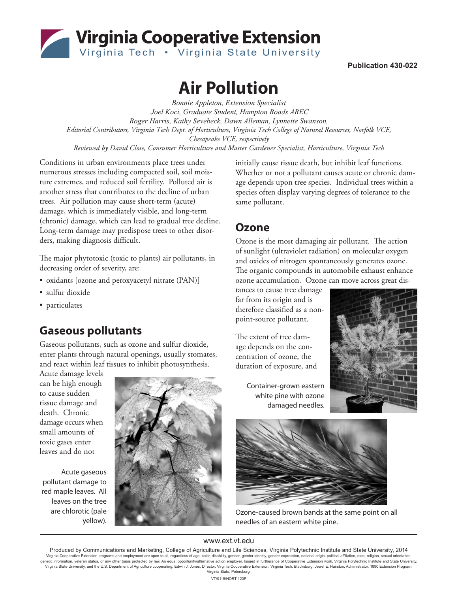

Virginia Cooperative Extension

**Publication 430-022**

# **Air Pollution**

*Bonnie Appleton, Extension Specialist Joel Koci, Graduate Student, Hampton Roads AREC Roger Harris, Kathy Sevebeck, Dawn Alleman, Lynnette Swanson, Editorial Contributors, Virginia Tech Dept. of Horticulture, Virginia Tech College of Natural Resources, Norfolk VCE, Chesapeake VCE, respectively Reviewed by David Close, Consumer Horticulture and Master Gardener Specialist, Horticulture, Virginia Tech*

Conditions in urban environments place trees under numerous stresses including compacted soil, soil moisture extremes, and reduced soil fertility. Polluted air is another stress that contributes to the decline of urban trees. Air pollution may cause short-term (acute) damage, which is immediately visible, and long-term (chronic) damage, which can lead to gradual tree decline. Long-term damage may predispose trees to other disorders, making diagnosis difficult.

The major phytotoxic (toxic to plants) air pollutants, in decreasing order of severity, are:

- oxidants [ozone and peroxyacetyl nitrate (PAN)]
- sulfur dioxide
- particulates

# **Gaseous pollutants**

Gaseous pollutants, such as ozone and sulfur dioxide, enter plants through natural openings, usually stomates, and react within leaf tissues to inhibit photosynthesis.

Acute damage levels can be high enough to cause sudden tissue damage and death. Chronic damage occurs when small amounts of toxic gases enter leaves and do not

Acute gaseous pollutant damage to red maple leaves. All leaves on the tree are chlorotic (pale yellow).



initially cause tissue death, but inhibit leaf functions. Whether or not a pollutant causes acute or chronic damage depends upon tree species. Individual trees within a species often display varying degrees of tolerance to the same pollutant.

#### **Ozone**

Ozone is the most damaging air pollutant. The action of sunlight (ultraviolet radiation) on molecular oxygen and oxides of nitrogen spontaneously generates ozone. The organic compounds in automobile exhaust enhance ozone accumulation. Ozone can move across great dis-

tances to cause tree damage far from its origin and is therefore classified as a nonpoint-source pollutant.

The extent of tree damage depends on the concentration of ozone, the duration of exposure, and

> Container-grown eastern white pine with ozone damaged needles.





Ozone-caused brown bands at the same point on all needles of an eastern white pine.

#### www.ext.vt.edu

Produced by Communications and Marketing, College of Agriculture and Life Sciences, Virginia Polytechnic Institute and State University, 2014 Virginia Cooperative Extension programs and employment are open to all, regardless of age, color, disability, gender, gender identity, gender expression, national origin, political affiliation, race, religion, sexual orien Virginia State University, and the U.S. Department of Agriculture cooperating. Edwin J. Jones, Director, Virginia Cooperative Extension, Virginia Tech, Blacksburg; Jewel E. Hairston, Administrator, 1890 Extension Program, Virginia State, Petersburg. VT/0115/HORT-123P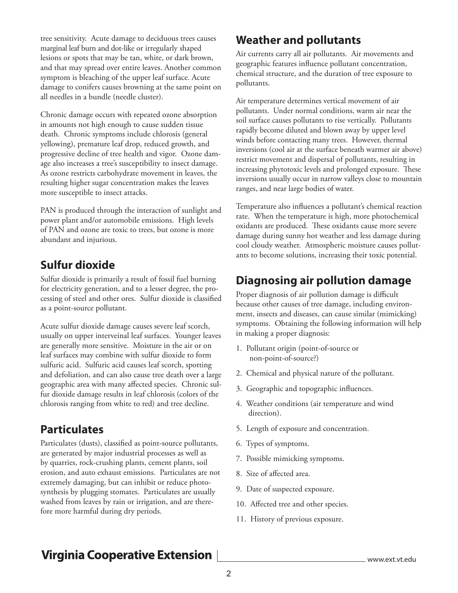tree sensitivity. Acute damage to deciduous trees causes marginal leaf burn and dot-like or irregularly shaped lesions or spots that may be tan, white, or dark brown, and that may spread over entire leaves. Another common symptom is bleaching of the upper leaf surface. Acute damage to conifers causes browning at the same point on all needles in a bundle (needle cluster).

Chronic damage occurs with repeated ozone absorption in amounts not high enough to cause sudden tissue death. Chronic symptoms include chlorosis (general yellowing), premature leaf drop, reduced growth, and progressive decline of tree health and vigor. Ozone damage also increases a tree's susceptibility to insect damage. As ozone restricts carbohydrate movement in leaves, the resulting higher sugar concentration makes the leaves more susceptible to insect attacks.

PAN is produced through the interaction of sunlight and power plant and/or automobile emissions. High levels of PAN and ozone are toxic to trees, but ozone is more abundant and injurious.

## **Sulfur dioxide**

Sulfur dioxide is primarily a result of fossil fuel burning for electricity generation, and to a lesser degree, the processing of steel and other ores. Sulfur dioxide is classified as a point-source pollutant.

Acute sulfur dioxide damage causes severe leaf scorch, usually on upper interveinal leaf surfaces. Younger leaves are generally more sensitive. Moisture in the air or on leaf surfaces may combine with sulfur dioxide to form sulfuric acid. Sulfuric acid causes leaf scorch, spotting and defoliation, and can also cause tree death over a large geographic area with many affected species. Chronic sulfur dioxide damage results in leaf chlorosis (colors of the chlorosis ranging from white to red) and tree decline.

# **Particulates**

Particulates (dusts), classified as point-source pollutants, are generated by major industrial processes as well as by quarries, rock-crushing plants, cement plants, soil erosion, and auto exhaust emissions. Particulates are not extremely damaging, but can inhibit or reduce photosynthesis by plugging stomates. Particulates are usually washed from leaves by rain or irrigation, and are therefore more harmful during dry periods.

# **Weather and pollutants**

Air currents carry all air pollutants. Air movements and geographic features influence pollutant concentration, chemical structure, and the duration of tree exposure to pollutants.

Air temperature determines vertical movement of air pollutants. Under normal conditions, warm air near the soil surface causes pollutants to rise vertically. Pollutants rapidly become diluted and blown away by upper level winds before contacting many trees. However, thermal inversions (cool air at the surface beneath warmer air above) restrict movement and dispersal of pollutants, resulting in increasing phytotoxic levels and prolonged exposure. These inversions usually occur in narrow valleys close to mountain ranges, and near large bodies of water.

Temperature also influences a pollutant's chemical reaction rate. When the temperature is high, more photochemical oxidants are produced. These oxidants cause more severe damage during sunny hot weather and less damage during cool cloudy weather. Atmospheric moisture causes pollutants to become solutions, increasing their toxic potential.

# **Diagnosing air pollution damage**

Proper diagnosis of air pollution damage is difficult because other causes of tree damage, including environment, insects and diseases, can cause similar (mimicking) symptoms. Obtaining the following information will help in making a proper diagnosis:

- 1. Pollutant origin (point-of-source or non-point-of-source?)
- 2. Chemical and physical nature of the pollutant.
- 3. Geographic and topographic influences.
- 4. Weather conditions (air temperature and wind direction).
- 5. Length of exposure and concentration.
- 6. Types of symptoms.
- 7. Possible mimicking symptoms.
- 8. Size of affected area.
- 9. Date of suspected exposure.
- 10. Affected tree and other species.
- 11. History of previous exposure.

# **Virginia Cooperative Extension**